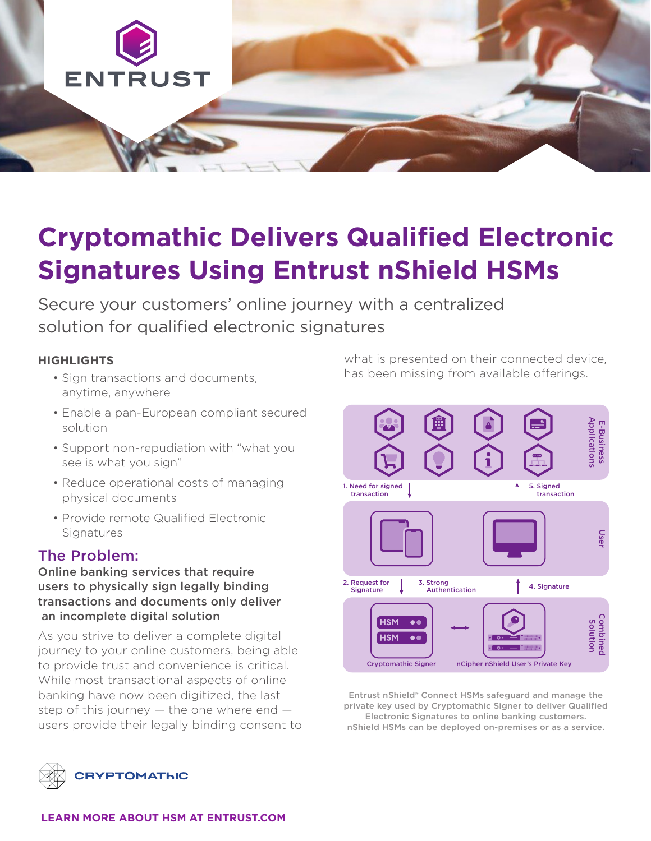

# **Cryptomathic Delivers Qualified Electronic Signatures Using Entrust nShield HSMs**

Secure your customers' online journey with a centralized solution for qualified electronic signatures

#### **HIGHLIGHTS**

- Sign transactions and documents, anytime, anywhere
- Enable a pan-European compliant secured solution
- Support non-repudiation with "what you see is what you sign"
- Reduce operational costs of managing physical documents
- Provide remote Qualified Electronic **Signatures**

## The Problem:

Online banking services that require users to physically sign legally binding transactions and documents only deliver an incomplete digital solution

As you strive to deliver a complete digital journey to your online customers, being able to provide trust and convenience is critical. While most transactional aspects of online banking have now been digitized, the last step of this journey — the one where end users provide their legally binding consent to

what is presented on their connected device, has been missing from available offerings.



Entrust nShield® Connect HSMs safeguard and manage the private key used by Cryptomathic Signer to deliver Qualified Electronic Signatures to online banking customers. nShield HSMs can be deployed on-premises or as a service.

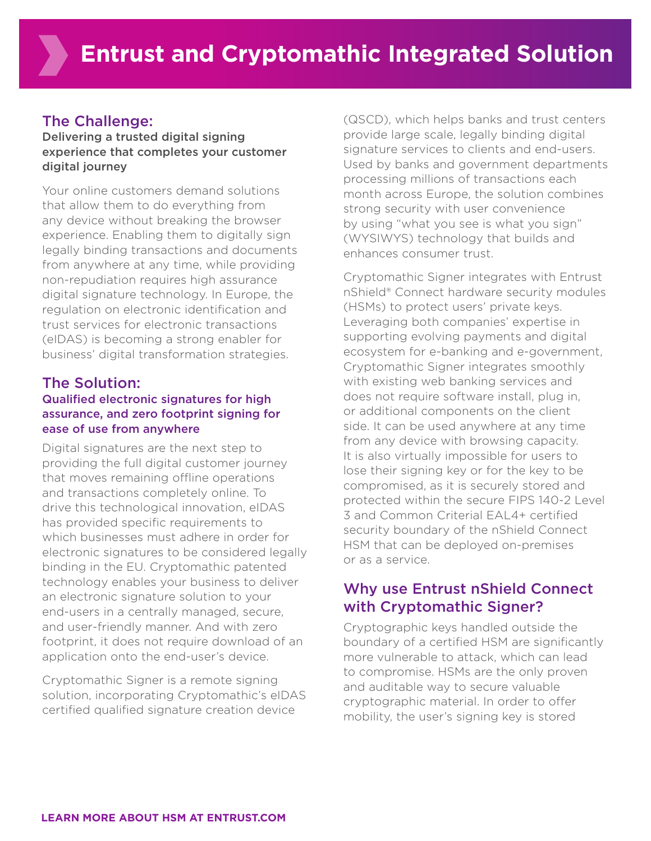## The Challenge:

#### Delivering a trusted digital signing experience that completes your customer digital journey

Your online customers demand solutions that allow them to do everything from any device without breaking the browser experience. Enabling them to digitally sign legally binding transactions and documents from anywhere at any time, while providing non-repudiation requires high assurance digital signature technology. In Europe, the regulation on electronic identification and trust services for electronic transactions (eIDAS) is becoming a strong enabler for business' digital transformation strategies.

#### The Solution: Qualified electronic signatures for high assurance, and zero footprint signing for ease of use from anywhere

Digital signatures are the next step to providing the full digital customer journey that moves remaining offline operations and transactions completely online. To drive this technological innovation, eIDAS has provided specific requirements to which businesses must adhere in order for electronic signatures to be considered legally binding in the EU. Cryptomathic patented technology enables your business to deliver an electronic signature solution to your end-users in a centrally managed, secure, and user-friendly manner. And with zero footprint, it does not require download of an application onto the end-user's device.

Cryptomathic Signer is a remote signing solution, incorporating Cryptomathic's eIDAS certified qualified signature creation device

(QSCD), which helps banks and trust centers provide large scale, legally binding digital signature services to clients and end-users. Used by banks and government departments processing millions of transactions each month across Europe, the solution combines strong security with user convenience by using "what you see is what you sign" (WYSIWYS) technology that builds and enhances consumer trust.

Cryptomathic Signer integrates with Entrust nShield® Connect hardware security modules (HSMs) to protect users' private keys. Leveraging both companies' expertise in supporting evolving payments and digital ecosystem for e-banking and e-government, Cryptomathic Signer integrates smoothly with existing web banking services and does not require software install, plug in, or additional components on the client side. It can be used anywhere at any time from any device with browsing capacity. It is also virtually impossible for users to lose their signing key or for the key to be compromised, as it is securely stored and protected within the secure FIPS 140-2 Level 3 and Common Criterial EAL4+ certified security boundary of the nShield Connect HSM that can be deployed on-premises or as a service.

## Why use Entrust nShield Connect with Cryptomathic Signer?

Cryptographic keys handled outside the boundary of a certified HSM are significantly more vulnerable to attack, which can lead to compromise. HSMs are the only proven and auditable way to secure valuable cryptographic material. In order to offer mobility, the user's signing key is stored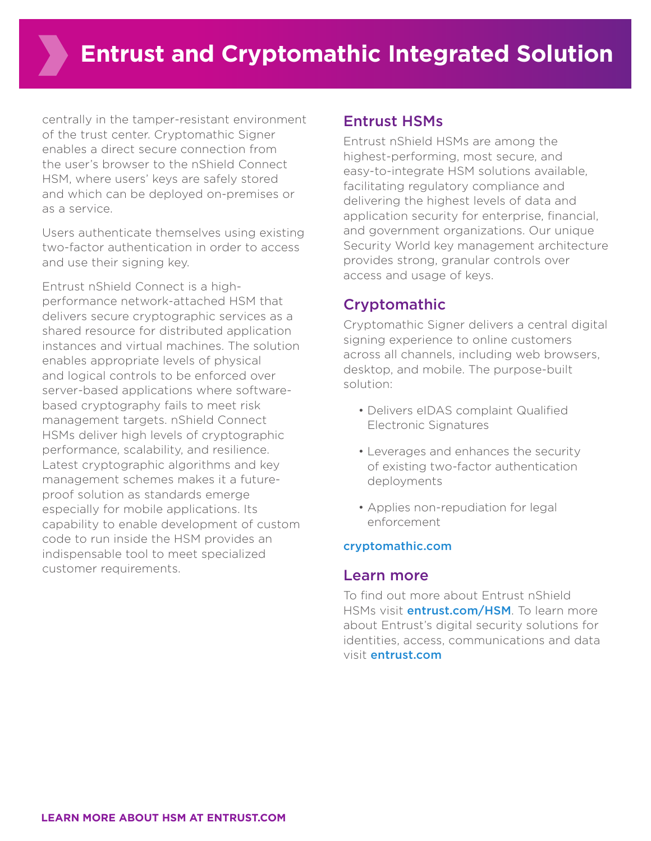centrally in the tamper-resistant environment of the trust center. Cryptomathic Signer enables a direct secure connection from the user's browser to the nShield Connect HSM, where users' keys are safely stored and which can be deployed on-premises or as a service.

Users authenticate themselves using existing two-factor authentication in order to access and use their signing key.

Entrust nShield Connect is a highperformance network-attached HSM that delivers secure cryptographic services as a shared resource for distributed application instances and virtual machines. The solution enables appropriate levels of physical and logical controls to be enforced over server-based applications where softwarebased cryptography fails to meet risk management targets. nShield Connect HSMs deliver high levels of cryptographic performance, scalability, and resilience. Latest cryptographic algorithms and key management schemes makes it a futureproof solution as standards emerge especially for mobile applications. Its capability to enable development of custom code to run inside the HSM provides an indispensable tool to meet specialized customer requirements.

## Entrust HSMs

Entrust nShield HSMs are among the highest-performing, most secure, and easy-to-integrate HSM solutions available, facilitating regulatory compliance and delivering the highest levels of data and application security for enterprise, financial, and government organizations. Our unique Security World key management architecture provides strong, granular controls over access and usage of keys.

# Cryptomathic

Cryptomathic Signer delivers a central digital signing experience to online customers across all channels, including web browsers, desktop, and mobile. The purpose-built solution:

- Delivers eIDAS complaint Qualified Electronic Signatures
- Leverages and enhances the security of existing two-factor authentication deployments
- Applies non-repudiation for legal enforcement

### [cryptomathic.com](http://www.cryptomathic.com)

### Learn more

To find out more about Entrust nShield HSMs visit **entrust.com/HSM**. To learn more about Entrust's digital security solutions for identities, access, communications and data visit entrust.com